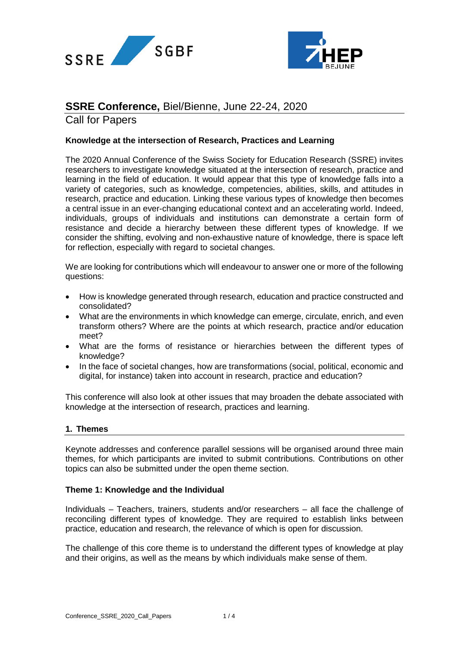



# **SSRE Conference,** Biel/Bienne, June 22-24, 2020

Call for Papers

# **Knowledge at the intersection of Research, Practices and Learning**

The 2020 Annual Conference of the Swiss Society for Education Research (SSRE) invites researchers to investigate knowledge situated at the intersection of research, practice and learning in the field of education. It would appear that this type of knowledge falls into a variety of categories, such as knowledge, competencies, abilities, skills, and attitudes in research, practice and education. Linking these various types of knowledge then becomes a central issue in an ever-changing educational context and an accelerating world. Indeed, individuals, groups of individuals and institutions can demonstrate a certain form of resistance and decide a hierarchy between these different types of knowledge. If we consider the shifting, evolving and non-exhaustive nature of knowledge, there is space left for reflection, especially with regard to societal changes.

We are looking for contributions which will endeavour to answer one or more of the following questions:

- How is knowledge generated through research, education and practice constructed and consolidated?
- What are the environments in which knowledge can emerge, circulate, enrich, and even transform others? Where are the points at which research, practice and/or education meet?
- What are the forms of resistance or hierarchies between the different types of knowledge?
- In the face of societal changes, how are transformations (social, political, economic and digital, for instance) taken into account in research, practice and education?

This conference will also look at other issues that may broaden the debate associated with knowledge at the intersection of research, practices and learning.

# **1. Themes**

Keynote addresses and conference parallel sessions will be organised around three main themes, for which participants are invited to submit contributions. Contributions on other topics can also be submitted under the open theme section.

# **Theme 1: Knowledge and the Individual**

Individuals – Teachers, trainers, students and/or researchers – all face the challenge of reconciling different types of knowledge. They are required to establish links between practice, education and research, the relevance of which is open for discussion.

The challenge of this core theme is to understand the different types of knowledge at play and their origins, as well as the means by which individuals make sense of them.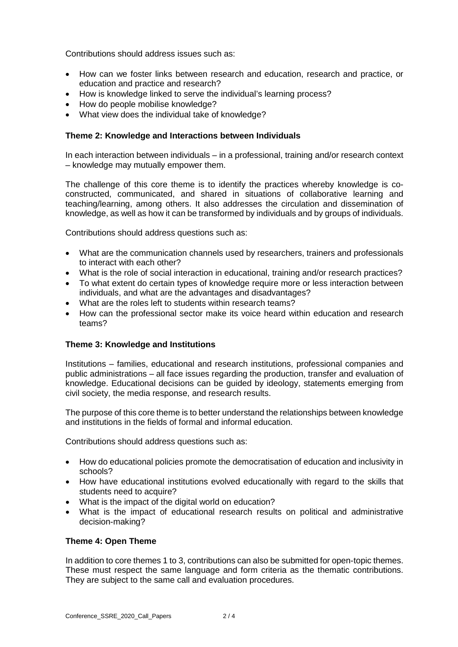Contributions should address issues such as:

- How can we foster links between research and education, research and practice, or education and practice and research?
- How is knowledge linked to serve the individual's learning process?
- How do people mobilise knowledge?
- What view does the individual take of knowledge?

## **Theme 2: Knowledge and Interactions between Individuals**

In each interaction between individuals – in a professional, training and/or research context – knowledge may mutually empower them.

The challenge of this core theme is to identify the practices whereby knowledge is coconstructed, communicated, and shared in situations of collaborative learning and teaching/learning, among others. It also addresses the circulation and dissemination of knowledge, as well as how it can be transformed by individuals and by groups of individuals.

Contributions should address questions such as:

- What are the communication channels used by researchers, trainers and professionals to interact with each other?
- What is the role of social interaction in educational, training and/or research practices?
- To what extent do certain types of knowledge require more or less interaction between individuals, and what are the advantages and disadvantages?
- What are the roles left to students within research teams?
- How can the professional sector make its voice heard within education and research teams?

# **Theme 3: Knowledge and Institutions**

Institutions – families, educational and research institutions, professional companies and public administrations – all face issues regarding the production, transfer and evaluation of knowledge. Educational decisions can be guided by ideology, statements emerging from civil society, the media response, and research results.

The purpose of this core theme is to better understand the relationships between knowledge and institutions in the fields of formal and informal education.

Contributions should address questions such as:

- How do educational policies promote the democratisation of education and inclusivity in schools?
- How have educational institutions evolved educationally with regard to the skills that students need to acquire?
- What is the impact of the digital world on education?
- What is the impact of educational research results on political and administrative decision-making?

# **Theme 4: Open Theme**

In addition to core themes 1 to 3, contributions can also be submitted for open-topic themes. These must respect the same language and form criteria as the thematic contributions. They are subject to the same call and evaluation procedures.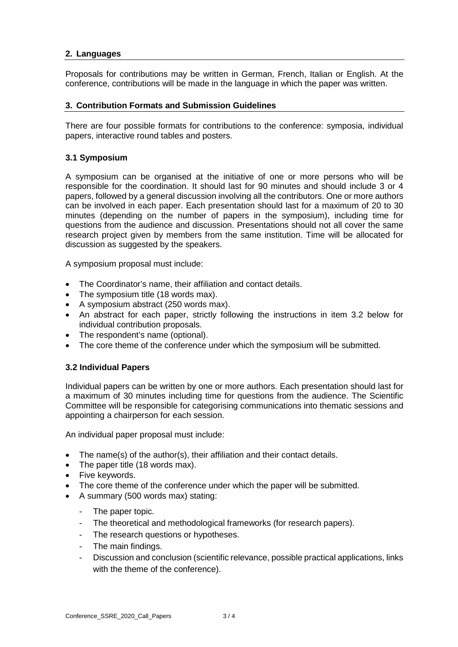# **2. Languages**

Proposals for contributions may be written in German, French, Italian or English. At the conference, contributions will be made in the language in which the paper was written.

## **3. Contribution Formats and Submission Guidelines**

There are four possible formats for contributions to the conference: symposia, individual papers, interactive round tables and posters.

## **3.1 Symposium**

A symposium can be organised at the initiative of one or more persons who will be responsible for the coordination. It should last for 90 minutes and should include 3 or 4 papers, followed by a general discussion involving all the contributors. One or more authors can be involved in each paper. Each presentation should last for a maximum of 20 to 30 minutes (depending on the number of papers in the symposium), including time for questions from the audience and discussion. Presentations should not all cover the same research project given by members from the same institution. Time will be allocated for discussion as suggested by the speakers.

A symposium proposal must include:

- The Coordinator's name, their affiliation and contact details.
- The symposium title (18 words max).
- A symposium abstract (250 words max).
- An abstract for each paper, strictly following the instructions in item 3.2 below for individual contribution proposals.
- The respondent's name (optional).
- The core theme of the conference under which the symposium will be submitted.

# **3.2 Individual Papers**

Individual papers can be written by one or more authors. Each presentation should last for a maximum of 30 minutes including time for questions from the audience. The Scientific Committee will be responsible for categorising communications into thematic sessions and appointing a chairperson for each session.

An individual paper proposal must include:

- The name(s) of the author(s), their affiliation and their contact details.
- The paper title (18 words max).
- Five keywords.
- The core theme of the conference under which the paper will be submitted.
- A summary (500 words max) stating:
	- The paper topic.
	- The theoretical and methodological frameworks (for research papers).
	- The research questions or hypotheses.
	- The main findings.
	- Discussion and conclusion (scientific relevance, possible practical applications, links with the theme of the conference).